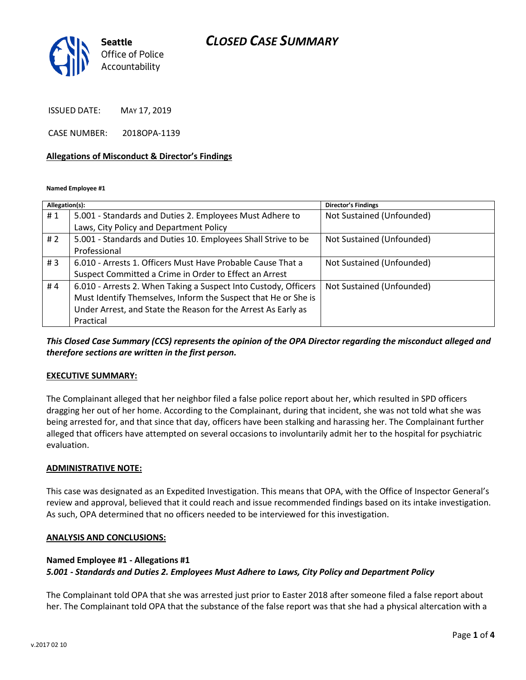# *CLOSED CASE SUMMARY*



ISSUED DATE: MAY 17, 2019

CASE NUMBER: 2018OPA-1139

#### **Allegations of Misconduct & Director's Findings**

**Named Employee #1**

| Allegation(s): |                                                                 | <b>Director's Findings</b> |
|----------------|-----------------------------------------------------------------|----------------------------|
| #1             | 5.001 - Standards and Duties 2. Employees Must Adhere to        | Not Sustained (Unfounded)  |
|                | Laws, City Policy and Department Policy                         |                            |
| #2             | 5.001 - Standards and Duties 10. Employees Shall Strive to be   | Not Sustained (Unfounded)  |
|                | Professional                                                    |                            |
| # $3$          | 6.010 - Arrests 1. Officers Must Have Probable Cause That a     | Not Sustained (Unfounded)  |
|                | Suspect Committed a Crime in Order to Effect an Arrest          |                            |
| #4             | 6.010 - Arrests 2. When Taking a Suspect Into Custody, Officers | Not Sustained (Unfounded)  |
|                | Must Identify Themselves, Inform the Suspect that He or She is  |                            |
|                | Under Arrest, and State the Reason for the Arrest As Early as   |                            |
|                | Practical                                                       |                            |

*This Closed Case Summary (CCS) represents the opinion of the OPA Director regarding the misconduct alleged and therefore sections are written in the first person.* 

#### **EXECUTIVE SUMMARY:**

The Complainant alleged that her neighbor filed a false police report about her, which resulted in SPD officers dragging her out of her home. According to the Complainant, during that incident, she was not told what she was being arrested for, and that since that day, officers have been stalking and harassing her. The Complainant further alleged that officers have attempted on several occasions to involuntarily admit her to the hospital for psychiatric evaluation.

#### **ADMINISTRATIVE NOTE:**

This case was designated as an Expedited Investigation. This means that OPA, with the Office of Inspector General's review and approval, believed that it could reach and issue recommended findings based on its intake investigation. As such, OPA determined that no officers needed to be interviewed for this investigation.

#### **ANALYSIS AND CONCLUSIONS:**

## **Named Employee #1 - Allegations #1** *5.001 - Standards and Duties 2. Employees Must Adhere to Laws, City Policy and Department Policy*

The Complainant told OPA that she was arrested just prior to Easter 2018 after someone filed a false report about her. The Complainant told OPA that the substance of the false report was that she had a physical altercation with a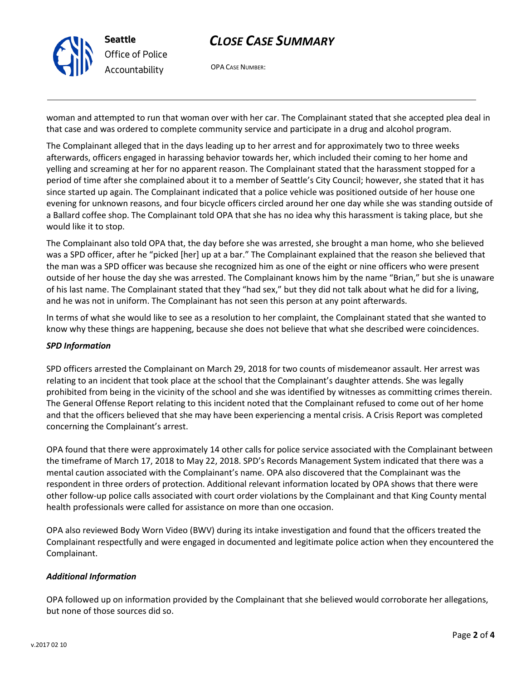# *CLOSE CASE SUMMARY*



OPA CASE NUMBER:

woman and attempted to run that woman over with her car. The Complainant stated that she accepted plea deal in that case and was ordered to complete community service and participate in a drug and alcohol program.

The Complainant alleged that in the days leading up to her arrest and for approximately two to three weeks afterwards, officers engaged in harassing behavior towards her, which included their coming to her home and yelling and screaming at her for no apparent reason. The Complainant stated that the harassment stopped for a period of time after she complained about it to a member of Seattle's City Council; however, she stated that it has since started up again. The Complainant indicated that a police vehicle was positioned outside of her house one evening for unknown reasons, and four bicycle officers circled around her one day while she was standing outside of a Ballard coffee shop. The Complainant told OPA that she has no idea why this harassment is taking place, but she would like it to stop.

The Complainant also told OPA that, the day before she was arrested, she brought a man home, who she believed was a SPD officer, after he "picked [her] up at a bar." The Complainant explained that the reason she believed that the man was a SPD officer was because she recognized him as one of the eight or nine officers who were present outside of her house the day she was arrested. The Complainant knows him by the name "Brian," but she is unaware of his last name. The Complainant stated that they "had sex," but they did not talk about what he did for a living, and he was not in uniform. The Complainant has not seen this person at any point afterwards.

In terms of what she would like to see as a resolution to her complaint, the Complainant stated that she wanted to know why these things are happening, because she does not believe that what she described were coincidences.

### *SPD Information*

SPD officers arrested the Complainant on March 29, 2018 for two counts of misdemeanor assault. Her arrest was relating to an incident that took place at the school that the Complainant's daughter attends. She was legally prohibited from being in the vicinity of the school and she was identified by witnesses as committing crimes therein. The General Offense Report relating to this incident noted that the Complainant refused to come out of her home and that the officers believed that she may have been experiencing a mental crisis. A Crisis Report was completed concerning the Complainant's arrest.

OPA found that there were approximately 14 other calls for police service associated with the Complainant between the timeframe of March 17, 2018 to May 22, 2018. SPD's Records Management System indicated that there was a mental caution associated with the Complainant's name. OPA also discovered that the Complainant was the respondent in three orders of protection. Additional relevant information located by OPA shows that there were other follow-up police calls associated with court order violations by the Complainant and that King County mental health professionals were called for assistance on more than one occasion.

OPA also reviewed Body Worn Video (BWV) during its intake investigation and found that the officers treated the Complainant respectfully and were engaged in documented and legitimate police action when they encountered the Complainant.

## *Additional Information*

OPA followed up on information provided by the Complainant that she believed would corroborate her allegations, but none of those sources did so.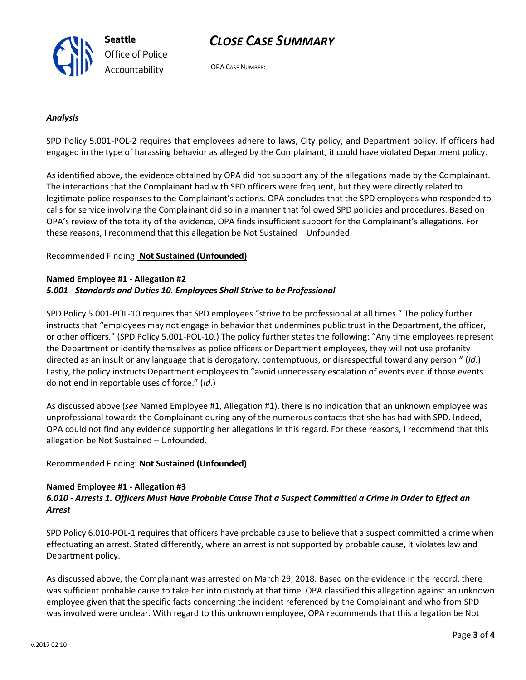

OPA CASE NUMBER:

#### *Analysis*

SPD Policy 5.001-POL-2 requires that employees adhere to laws, City policy, and Department policy. If officers had engaged in the type of harassing behavior as alleged by the Complainant, it could have violated Department policy.

As identified above, the evidence obtained by OPA did not support any of the allegations made by the Complainant. The interactions that the Complainant had with SPD officers were frequent, but they were directly related to legitimate police responses to the Complainant's actions. OPA concludes that the SPD employees who responded to calls for service involving the Complainant did so in a manner that followed SPD policies and procedures. Based on OPA's review of the totality of the evidence, OPA finds insufficient support for the Complainant's allegations. For these reasons, I recommend that this allegation be Not Sustained – Unfounded.

#### Recommended Finding: **Not Sustained (Unfounded)**

**Seattle**

*Office of Police Accountability*

### **Named Employee #1 - Allegation #2** *5.001 - Standards and Duties 10. Employees Shall Strive to be Professional*

SPD Policy 5.001-POL-10 requires that SPD employees "strive to be professional at all times." The policy further instructs that "employees may not engage in behavior that undermines public trust in the Department, the officer, or other officers." (SPD Policy 5.001-POL-10.) The policy further states the following: "Any time employees represent the Department or identify themselves as police officers or Department employees, they will not use profanity directed as an insult or any language that is derogatory, contemptuous, or disrespectful toward any person." (*Id*.) Lastly, the policy instructs Department employees to "avoid unnecessary escalation of events even if those events do not end in reportable uses of force." (*Id*.)

As discussed above (*see* Named Employee #1, Allegation #1), there is no indication that an unknown employee was unprofessional towards the Complainant during any of the numerous contacts that she has had with SPD. Indeed, OPA could not find any evidence supporting her allegations in this regard. For these reasons, I recommend that this allegation be Not Sustained – Unfounded.

### Recommended Finding: **Not Sustained (Unfounded)**

#### **Named Employee #1 - Allegation #3** *6.010 - Arrests 1. Officers Must Have Probable Cause That a Suspect Committed a Crime in Order to Effect an Arrest*

SPD Policy 6.010-POL-1 requires that officers have probable cause to believe that a suspect committed a crime when effectuating an arrest. Stated differently, where an arrest is not supported by probable cause, it violates law and Department policy.

As discussed above, the Complainant was arrested on March 29, 2018. Based on the evidence in the record, there was sufficient probable cause to take her into custody at that time. OPA classified this allegation against an unknown employee given that the specific facts concerning the incident referenced by the Complainant and who from SPD was involved were unclear. With regard to this unknown employee, OPA recommends that this allegation be Not